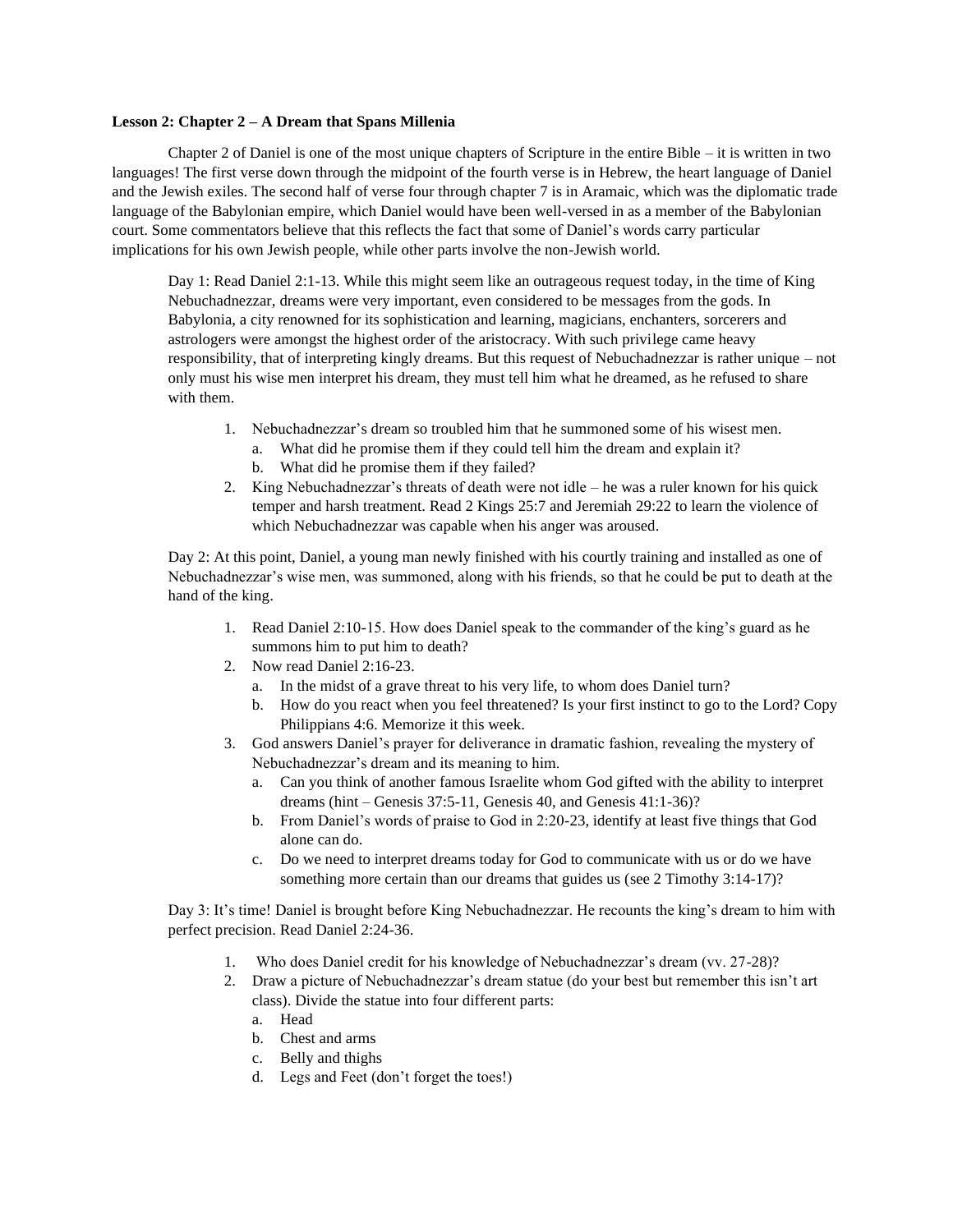## **Lesson 2: Chapter 2 – A Dream that Spans Millenia**

Chapter 2 of Daniel is one of the most unique chapters of Scripture in the entire Bible – it is written in two languages! The first verse down through the midpoint of the fourth verse is in Hebrew, the heart language of Daniel and the Jewish exiles. The second half of verse four through chapter 7 is in Aramaic, which was the diplomatic trade language of the Babylonian empire, which Daniel would have been well-versed in as a member of the Babylonian court. Some commentators believe that this reflects the fact that some of Daniel's words carry particular implications for his own Jewish people, while other parts involve the non-Jewish world.

Day 1: Read Daniel 2:1-13. While this might seem like an outrageous request today, in the time of King Nebuchadnezzar, dreams were very important, even considered to be messages from the gods. In Babylonia, a city renowned for its sophistication and learning, magicians, enchanters, sorcerers and astrologers were amongst the highest order of the aristocracy. With such privilege came heavy responsibility, that of interpreting kingly dreams. But this request of Nebuchadnezzar is rather unique – not only must his wise men interpret his dream, they must tell him what he dreamed, as he refused to share with them.

- 1. Nebuchadnezzar's dream so troubled him that he summoned some of his wisest men.
	- a. What did he promise them if they could tell him the dream and explain it?
	- b. What did he promise them if they failed?
- 2. King Nebuchadnezzar's threats of death were not idle he was a ruler known for his quick temper and harsh treatment. Read 2 Kings 25:7 and Jeremiah 29:22 to learn the violence of which Nebuchadnezzar was capable when his anger was aroused.

Day 2: At this point, Daniel, a young man newly finished with his courtly training and installed as one of Nebuchadnezzar's wise men, was summoned, along with his friends, so that he could be put to death at the hand of the king.

- 1. Read Daniel 2:10-15. How does Daniel speak to the commander of the king's guard as he summons him to put him to death?
- 2. Now read Daniel 2:16-23.
	- a. In the midst of a grave threat to his very life, to whom does Daniel turn?
	- b. How do you react when you feel threatened? Is your first instinct to go to the Lord? Copy Philippians 4:6. Memorize it this week.
- 3. God answers Daniel's prayer for deliverance in dramatic fashion, revealing the mystery of Nebuchadnezzar's dream and its meaning to him.
	- a. Can you think of another famous Israelite whom God gifted with the ability to interpret dreams (hint – Genesis 37:5-11, Genesis 40, and Genesis 41:1-36)?
	- b. From Daniel's words of praise to God in 2:20-23, identify at least five things that God alone can do.
	- c. Do we need to interpret dreams today for God to communicate with us or do we have something more certain than our dreams that guides us (see 2 Timothy 3:14-17)?

Day 3: It's time! Daniel is brought before King Nebuchadnezzar. He recounts the king's dream to him with perfect precision. Read Daniel 2:24-36.

- 1. Who does Daniel credit for his knowledge of Nebuchadnezzar's dream (vv. 27-28)?
- 2. Draw a picture of Nebuchadnezzar's dream statue (do your best but remember this isn't art class). Divide the statue into four different parts:
	- a. Head
	- b. Chest and arms
	- c. Belly and thighs
	- d. Legs and Feet (don't forget the toes!)